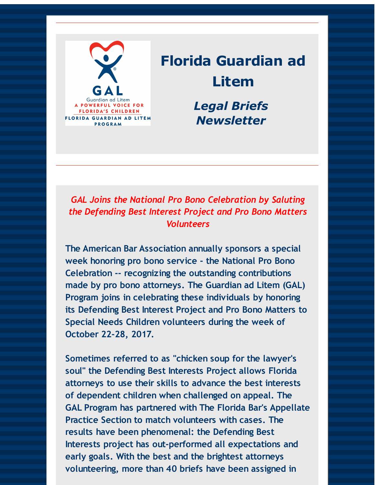

# **Florida Guardian ad Litem**

*Legal Briefs Newsletter*

*GAL Joins the National Pro Bono Celebration by Saluting the Defending Best Interest Project and Pro Bono Matters Volunteers*

**The American Bar Association annually sponsors a special week honoring pro bono service - the National Pro Bono Celebration -- recognizing the outstanding contributions made by pro bono attorneys. The Guardian ad Litem (GAL) Program joins in celebrating these individuals by honoring its Defending Best Interest Project and Pro Bono Matters to Special Needs Children volunteers during the week of October 22-28, 2017.**

**Sometimes referred to as "chicken soup for the lawyer's soul" the Defending Best Interests Project allows Florida attorneys to use their skills to advance the best interests of dependent children when challenged on appeal. The GAL Program has partnered with The Florida Bar's Appellate Practice Section to match volunteers with cases. The results have been phenomenal: the Defending Best Interests project has out-performed all expectations and early goals. With the best and the brightest attorneys volunteering, more than 40 briefs have been assigned in**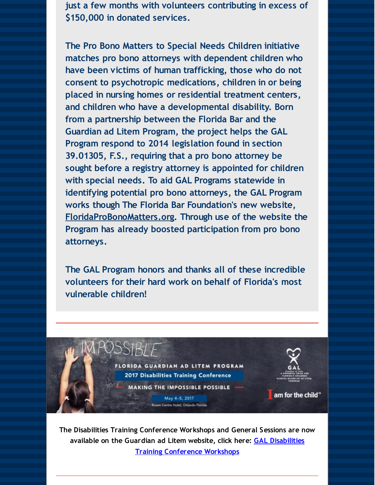**just a few months with volunteers contributing in excess of \$150,000 in donated services.**

**The Pro Bono Matters to Special Needs Children initiative matches pro bono attorneys with dependent children who have been victims of human trafficking, those who do not consent to psychotropic medications, children in or being placed in nursing homes or residential treatment centers, and children who have a developmental disability. Born from a partnership between the Florida Bar and the Guardian ad Litem Program, the project helps the GAL Program respond to 2014 legislation found in section 39.01305, F.S., requiring that a pro bono attorney be sought before a registry attorney is appointed for children with special needs. To aid GAL Programs statewide in identifying potential pro bono attorneys, the GAL Program works though The Florida Bar Foundation's new website, [FloridaProBonoMatters.org](http://r20.rs6.net/tn.jsp?f=0012DZu5kfmR_lXes23NGhIITD6LGP4sdrVOITI_3OU4Qy81q8O3mrd45qFHkqTcS3UXiXNvHL9HjNuxXaaz92Rn3mqfYZFea0CXgZXGDaMa8QQIQ26UgfvdZ3pte5UdVIK9pLRF44gNDNzasmPRuniiCWSEoSrVw05bac9Zyex7iC7Tx5dr2jPKw==&c=&ch=). Through use of the website the Program has already boosted participation from pro bono attorneys.**

**The GAL Program honors and thanks all of these incredible volunteers for their hard work on behalf of Florida's most vulnerable children!**



**The Disabilities Training Conference Workshops and General Sessions are now available on the Guardian ad Litem website, click here: GAL Disabilities Training [Conference](http://r20.rs6.net/tn.jsp?f=0012DZu5kfmR_lXes23NGhIITD6LGP4sdrVOITI_3OU4Qy81q8O3mrd45qFHkqTcS3USBkEjxHC9r2XkvkyrqQFNsvIpSU5MDmyVQk-at08l2BKHqffLgjj5kYtTQDeHOu3TBaw9nhuNZ5FZbue6IACIcnwCmgxGFuXS6bMiYKoitpndIqg92GhLePcqFkzHX4UDYssb6EHpRGSzaLt29mfTzfC1wh0en2NW0JQKA_zha7L7zMMx3x3kLxkILXZRtsQkF_LpG1ahpV5bE7zuaUoMizjm4ilMZINDeoHI17tdgdXiGpnv6GLr0XEoOvoEFekssN-Tx5moR5MNZ6ub5HEng==&c=&ch=) Workshops**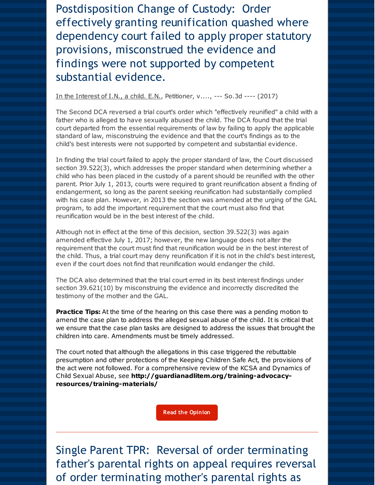Postdisposition Change of Custody: Order effectively granting reunification quashed where dependency court failed to apply proper statutory provisions, misconstrued the evidence and findings were not supported by competent substantial evidence.

### In the Interest of I.N., a child. E.N., Petitioner, v...., --- So.3d ---- (2017)

The Second DCA reversed a trial court's order which "effectively reunified" a child with a father who is alleged to have sexually abused the child. The DCA found that the trial court departed from the essential requirements of law by failing to apply the applicable standard of law, misconstruing the evidence and that the court's findings as to the child's best interests were not supported by competent and substantial evidence.

In finding the trial court failed to apply the proper standard of law, the Court discussed section 39.522(3), which addresses the proper standard when determining whether a child who has been placed in the custody of a parent should be reunified with the other parent. Prior July 1, 2013, courts were required to grant reunification absent a finding of endangerment, so long as the parent seeking reunification had substantially complied with his case plan. However, in 2013 the section was amended at the urging of the GAL program, to add the important requirement that the court must also find that reunification would be in the best interest of the child.

Although not in effect at the time of this decision, section 39.522(3) was again amended effective July 1, 2017; however, the new language does not alter the requirement that the court must find that reunification would be in the best interest of the child. Thus, a trial court may deny reunification if it is not in the child's best interest, even if the court does not find that reunification would endanger the child.

The DCA also determined that the trial court erred in its best interest findings under section 39.621(10) by misconstruing the evidence and incorrectly discredited the testimony of the mother and the GAL.

**Practice Tips:** At the time of the hearing on this case there was a pending motion to amend the case plan to address the alleged sexual abuse of the child. It is critical that we ensure that the case plan tasks are designed to address the issues that brought the children into care. Amendments must be timely addressed.

The court noted that although the allegations in this case triggered the rebuttable presumption and other protections of the Keeping Children Safe Act, the provisions of the act were not followed. For a comprehensive review of the KCSA and Dynamics of Child Sexual Abuse, see **[http://guardianadlitem.org/training-advocacy](http://r20.rs6.net/tn.jsp?f=0012DZu5kfmR_lXes23NGhIITD6LGP4sdrVOITI_3OU4Qy81q8O3mrd45qFHkqTcS3UKezpeZYoRCK-sWpfZeez1uNI2hp-DA2N9Qoi3XpuqD9Hy29r6_bCe903ylDyvnGlSkZhwIK_v-NyDyxrDbpYeOl5gLhVeq8yrKuCz9hS_jQWMWfQMNuG5nUdehHVnAtNH25BinP5FhXNkXNGa7TfaJ41VUr4DnvnbZcjTHlyVJgLuCZA7cBzxw==&c=&ch=)resources/training-materials/**

**Read the [Opinion](http://r20.rs6.net/tn.jsp?f=0012DZu5kfmR_lXes23NGhIITD6LGP4sdrVOITI_3OU4Qy81q8O3mrd45qFHkqTcS3U8aLk3l_jUe2IXkj4UzvbpA1b4NE_JKdo6cQfhOkpsxX8dfexSsaAb_T6gINmvpAi6Z4kCKrcMPhasOu4GCqDnduE3mS5c9kSYUtekniLTQWXPsFjO4N5ZWIIRGhoT-TcuC0R41XeJ9_D5OI2jsxwEKoTue3-P-TcKdeeyZiyoC9pqyE52XVdfuMglFGAHt2BMc8woB9fW3LQKRSuWqNPjIo9D99c5XJbC3k4HVpX5zg=&c=&ch=)**

Single Parent TPR: Reversal of order terminating father's parental rights on appeal requires reversal of order terminating mother's parental rights as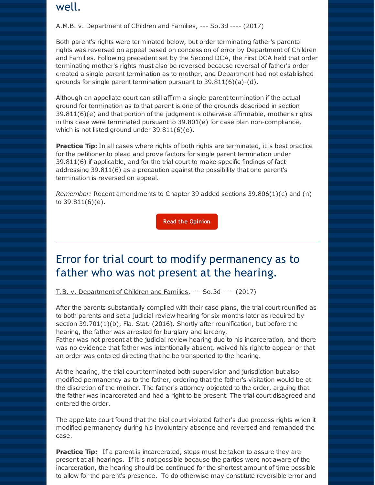### well.

### A.M.B. v. Department of Children and Families, --- So.3d ---- (2017)

Both parent's rights were terminated below, but order terminating father's parental rights was reversed on appeal based on concession of error by Department of Children and Families. Following precedent set by the Second DCA, the First DCA held that order terminating mother's rights must also be reversed because reversal of father's order created a single parent termination as to mother, and Department had not established grounds for single parent termination pursuant to 39.811(6)(a)-(d).

Although an appellate court can still affirm a single-parent termination if the actual ground for termination as to that parent is one of the grounds described in section  $39.811(6)(e)$  and that portion of the judgment is otherwise affirmable, mother's rights in this case were terminated pursuant to 39.801(e) for case plan non-compliance, which is not listed ground under 39.811(6)(e).

**Practice Tip:** In all cases where rights of both rights are terminated, it is best practice for the petitioner to plead and prove factors for single parent termination under 39.811(6) if applicable, and for the trial court to make specific findings of fact addressing 39.811(6) as a precaution against the possibility that one parent's termination is reversed on appeal.

*Remember:* Recent amendments to Chapter 39 added sections 39.806(1)(c) and (n) to 39.811(6)(e).

**Read the [Opinion](http://r20.rs6.net/tn.jsp?f=0012DZu5kfmR_lXes23NGhIITD6LGP4sdrVOITI_3OU4Qy81q8O3mrd45qFHkqTcS3UxopCKu3l_cWWBihZzl7US5_SfU0kP-VzSEfSCtlUjpSS-0IcQgvmBFPfiN1VNKeyKw6bEn-GaiOECQ04P2rhEzGYaabbXb2rjbvn5XVW6n3la6LUywxC8Vk9zIjpns13zpSL2Uvhd7DHBA8IEpohkImbbIR-iSi72-sCA6m3DUrdUZVXbtx7oQ==&c=&ch=)**

### Error for trial court to modify permanency as to father who was not present at the hearing.

T.B. v. Department of Children and Families, --- So.3d ---- (2017)

After the parents substantially complied with their case plans, the trial court reunified as to both parents and set a judicial review hearing for six months later as required by section 39.701(1)(b), Fla. Stat. (2016). Shortly after reunification, but before the hearing, the father was arrested for burglary and larceny.

Father was not present at the judicial review hearing due to his incarceration, and there was no evidence that father was intentionally absent, waived his right to appear or that an order was entered directing that he be transported to the hearing.

At the hearing, the trial court terminated both supervision and jurisdiction but also modified permanency as to the father, ordering that the father's visitation would be at the discretion of the mother. The father's attorney objected to the order, arguing that the father was incarcerated and had a right to be present. The trial court disagreed and entered the order.

The appellate court found that the trial court violated father's due process rights when it modified permanency during his involuntary absence and reversed and remanded the case.

**Practice Tip:** If a parent is incarcerated, steps must be taken to assure they are present at all hearings. If it is not possible because the parties were not aware of the incarceration, the hearing should be continued for the shortest amount of time possible to allow for the parent's presence. To do otherwise may constitute reversible error and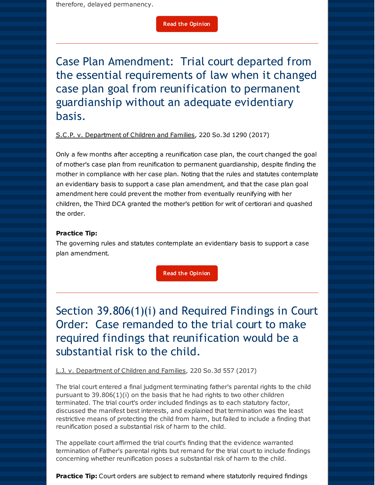therefore, delayed permanency.

**Read the [Opinion](http://r20.rs6.net/tn.jsp?f=0012DZu5kfmR_lXes23NGhIITD6LGP4sdrVOITI_3OU4Qy81q8O3mrd45qFHkqTcS3UzFx0q-wbrnK7T66MWVdyUtLpO0vGvuttIGVbizOjbQztdImj56zClCJLLJ3Qi8Cm_isCqrvnjEIOs5Rbe3VR4ZYIYeRuvwwDLEmQL7XJKVH92VsjKd2dlQ-VmKHz7lct8jGuEgxACNtRBH5UywzSDhOD_p2Uh67qVQTkKt85eaQ=&c=&ch=)**

Case Plan Amendment: Trial court departed from the essential requirements of law when it changed case plan goal from reunification to permanent guardianship without an adequate evidentiary basis.

### S.C.P. v. Department of Children and Families, 220 So.3d 1290 (2017)

Only a few months after accepting a reunification case plan, the court changed the goal of mother's case plan from reunification to permanent guardianship, despite finding the mother in compliance with her case plan. Noting that the rules and statutes contemplate an evidentiary basis to support a case plan amendment, and that the case plan goal amendment here could prevent the mother from eventually reunifying with her children, the Third DCA granted the mother's petition for writ of certiorari and quashed the order.

### **Practice Tip:**

The governing rules and statutes contemplate an evidentiary basis to support a case plan amendment.

**Read the [Opinion](http://r20.rs6.net/tn.jsp?f=0012DZu5kfmR_lXes23NGhIITD6LGP4sdrVOITI_3OU4Qy81q8O3mrd45qFHkqTcS3UNTBKtu10OzZQ_QKJkkOLbz3J07F_0q3kGfidIrurUv1o233xCjgpPGsf3NDvdCFePkIetJ64kTPz9WMB3kZmRGjDG6b6aIl9kWOVcPq6h0e2Ifyola2FxwAWjk52fh1fji7WqF4hIPllBBLVCnibFw==&c=&ch=)**

Section 39.806(1)(i) and Required Findings in Court Order: Case remanded to the trial court to make required findings that reunification would be a substantial risk to the child.

L.J. v. Department of Children and Families, 220 So.3d 557 (2017)

The trial court entered a final judgment terminating father's parental rights to the child pursuant to  $39.806(1)(i)$  on the basis that he had rights to two other children terminated. The trial court's order included findings as to each statutory factor, discussed the manifest best interests, and explained that termination was the least restrictive means of protecting the child from harm, but failed to include a finding that reunification posed a substantial risk of harm to the child.

The appellate court affirmed the trial court's finding that the evidence warranted termination of Father's parental rights but remand for the trial court to include findings concerning whether reunification poses a substantial risk of harm to the child.

**Practice Tip:** Court orders are subject to remand where statutorily required findings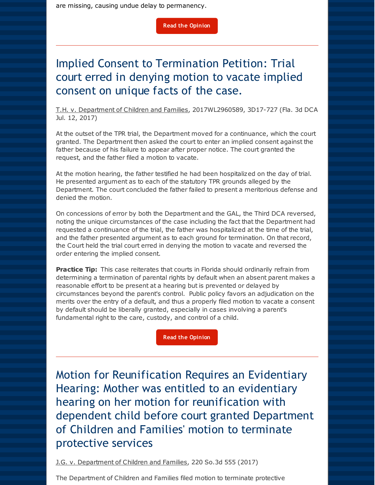are missing, causing undue delay to permanency.

# Implied Consent to Termination Petition: Trial court erred in denying motion to vacate implied consent on unique facts of the case.

T.H. v. Department of Children and Families, 2017WL2960589, 3D17-727 (Fla. 3d DCA Jul. 12, 2017)

At the outset of the TPR trial, the Department moved for a continuance, which the court granted. The Department then asked the court to enter an implied consent against the father because of his failure to appear after proper notice. The court granted the request, and the father filed a motion to vacate.

At the motion hearing, the father testified he had been hospitalized on the day of trial. He presented argument as to each of the statutory TPR grounds alleged by the Department. The court concluded the father failed to present a meritorious defense and denied the motion.

On concessions of error by both the Department and the GAL, the Third DCA reversed, noting the unique circumstances of the case including the fact that the Department had requested a continuance of the trial, the father was hospitalized at the time of the trial, and the father presented argument as to each ground for termination. On that record, the Court held the trial court erred in denying the motion to vacate and reversed the order entering the implied consent.

**Practice Tip:** This case reiterates that courts in Florida should ordinarily refrain from determining a termination of parental rights by default when an absent parent makes a reasonable effort to be present at a hearing but is prevented or delayed by circumstances beyond the parent's control. Public policy favors an adjudication on the merits over the entry of a default, and thus a properly filed motion to vacate a consent by default should be liberally granted, especially in cases involving a parent's fundamental right to the care, custody, and control of a child.

**Read the [Opinion](http://r20.rs6.net/tn.jsp?f=0012DZu5kfmR_lXes23NGhIITD6LGP4sdrVOITI_3OU4Qy81q8O3mrd45qFHkqTcS3UL0sQMjSdYvVCeIZHj5ZrxbwTQ3S64aLnuiRp8nIQ2qNtUa_yE9YxydtUqW3lSEk7MayjcAyDrm6fubYjFcYvPJkne9Ty1kON_h3NdvDfeU6oYvtjEuqrQCfBRRv3n-itA6n5VEaQ91_Rname_hkRog==&c=&ch=)**

Motion for Reunification Requires an Evidentiary Hearing: Mother was entitled to an evidentiary hearing on her motion for reunification with dependent child before court granted Department of Children and Families' motion to terminate protective services

J.G. v. Department of Children and Families, 220 So.3d 555 (2017)

The Department of Children and Families filed motion to terminate protective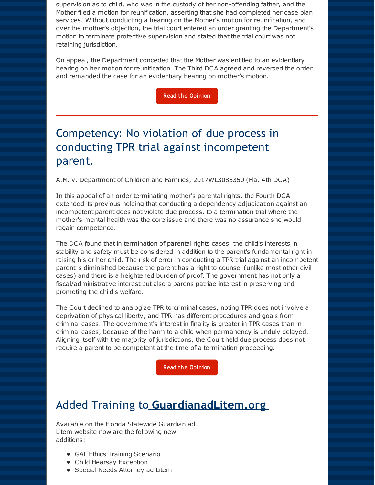supervision as to child, who was in the custody of her non-offending father, and the Mother filed a motion for reunification, asserting that she had completed her case plan services. Without conducting a hearing on the Mother's motion for reunification, and over the mother's objection, the trial court entered an order granting the Department's motion to terminate protective supervision and stated that the trial court was not retaining jurisdiction.

On appeal, the Department conceded that the Mother was entitled to an evidentiary hearing on her motion for reunification. The Third DCA agreed and reversed the order and remanded the case for an evidentiary hearing on mother's motion.

**Read the [Opinion](http://r20.rs6.net/tn.jsp?f=0012DZu5kfmR_lXes23NGhIITD6LGP4sdrVOITI_3OU4Qy81q8O3mrd45qFHkqTcS3UtUXk0x0VR-9e29uM2Ka8a-kU9eKjQtT4EZY_f8tjx-a1WvU-kDBX2OSHC52lPCYOiPmI_L6oLxo74H2RzVjY6oj6oNGcXX2I7loLYbW8AOXRrbuA0vjyBXRXmn-7i8hdePOGm93ldt-zR9FQq_C1fA==&c=&ch=)**

# Competency: No violation of due process in conducting TPR trial against incompetent parent.

A.M. v. Department of Children and Families, 2017WL3085350 (Fla. 4th DCA)

In this appeal of an order terminating mother's parental rights, the Fourth DCA extended its previous holding that conducting a dependency adjudication against an incompetent parent does not violate due process, to a termination trial where the mother's mental health was the core issue and there was no assurance she would regain competence.

The DCA found that in termination of parental rights cases, the child's interests in stability and safety must be considered in addition to the parent's fundamental right in raising his or her child. The risk of error in conducting a TPR trial against an incompetent parent is diminished because the parent has a right to counsel (unlike most other civil cases) and there is a heightened burden of proof. The government has not only a fiscal/administrative interest but also a parens patriae interest in preserving and promoting the child's welfare.

The Court declined to analogize TPR to criminal cases, noting TPR does not involve a deprivation of physical liberty, and TPR has different procedures and goals from criminal cases. The government's interest in finality is greater in TPR cases than in criminal cases, because of the harm to a child when permanency is unduly delayed. Aligning itself with the majority of jurisdictions, the Court held due process does not require a parent to be competent at the time of a termination proceeding.

**Read the [Opinion](http://r20.rs6.net/tn.jsp?f=0012DZu5kfmR_lXes23NGhIITD6LGP4sdrVOITI_3OU4Qy81q8O3mrd45qFHkqTcS3UNVBBkoITACgdb8UUZV5FsFGGkZdcelzuPDsydPdFeXv0uOxhGhUF2R7UO5jh5Xz6UuHIblGiqvBMoHr1qY1tlneNO7A37fpsv_NseEuYdlDp1-qg2QGlQe3uk3Ap9Ys1siS4pRnAbgPwtGCHaxnV84lg9tHLuTSbzn-GDFAnGo4IymIdLataVw==&c=&ch=)**

# Added Training to **[GuardianadLitem.org](http://r20.rs6.net/tn.jsp?f=0012DZu5kfmR_lXes23NGhIITD6LGP4sdrVOITI_3OU4Qy81q8O3mrd48OTbGEDTQmcFp3Zk08k7Cy7sHQ8I-LRPVJPWHa5mKYvUDW2moCzGwVEqN-mDFO73gIcDUXF_n9bQ6KjMXqUKVEz7IcowTuAYwOIguqyQhvafU5XMU6HD1aP5j7cjCsCZA==&c=&ch=)**

Available on the Florida Statewide Guardian ad Litem website now are the following new additions:

- GAL Ethics Training Scenario
- Child Hearsay Exception
- Special Needs Attorney ad Litem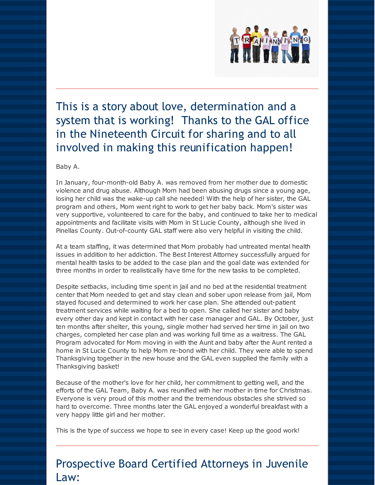

# This is a story about love, determination and a system that is working! Thanks to the GAL office in the Nineteenth Circuit for sharing and to all involved in making this reunification happen!

Baby A.

In January, four-month-old Baby A. was removed from her mother due to domestic violence and drug abuse. Although Mom had been abusing drugs since a young age, losing her child was the wake-up call she needed! With the help of her sister, the GAL program and others, Mom went right to work to get her baby back. Mom's sister was very supportive, volunteered to care for the baby, and continued to take her to medical appointments and facilitate visits with Mom in St Lucie County, although she lived in Pinellas County. Out-of-county GAL staff were also very helpful in visiting the child.

At a team staffing, it was determined that Mom probably had untreated mental health issues in addition to her addiction. The Best Interest Attorney successfully argued for mental health tasks to be added to the case plan and the goal date was extended for three months in order to realistically have time for the new tasks to be completed.

Despite setbacks, including time spent in jail and no bed at the residential treatment center that Mom needed to get and stay clean and sober upon release from jail, Mom stayed focused and determined to work her case plan. She attended out-patient treatment services while waiting for a bed to open. She called her sister and baby every other day and kept in contact with her case manager and GAL. By October, just ten months after shelter, this young, single mother had served her time in jail on two charges, completed her case plan and was working full time as a waitress. The GAL Program advocated for Mom moving in with the Aunt and baby after the Aunt rented a home in St Lucie County to help Mom re-bond with her child. They were able to spend Thanksgiving together in the new house and the GAL even supplied the family with a Thanksgiving basket!

Because of the mother's love for her child, her commitment to getting well, and the efforts of the GAL Team, Baby A. was reunified with her mother in time for Christmas. Everyone is very proud of this mother and the tremendous obstacles she strived so hard to overcome. Three months later the GAL enjoyed a wonderful breakfast with a very happy little girl and her mother.

This is the type of success we hope to see in every case! Keep up the good work!

## Prospective Board Certified Attorneys in Juvenile Law: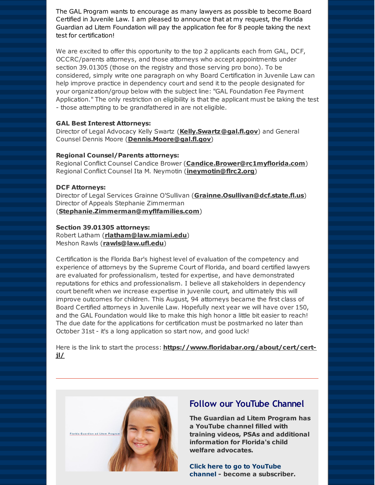The GAL Program wants to encourage as many lawyers as possible to become Board Certified in Juvenile Law. I am pleased to announce that at my request, the Florida Guardian ad Litem Foundation will pay the application fee for 8 people taking the next test for certification!

We are excited to offer this opportunity to the top 2 applicants each from GAL, DCF, OCCRC/parents attorneys, and those attorneys who accept appointments under section 39.01305 (those on the registry and those serving pro bono). To be considered, simply write one paragraph on why Board Certification in Juvenile Law can help improve practice in dependency court and send it to the people designated for your organization/group below with the subject line: "GAL Foundation Fee Payment Application." The only restriction on eligibility is that the applicant must be taking the test - those attempting to be grandfathered in are not eligible.

### **GAL Best Interest Attorneys:**

Director of Legal Advocacy Kelly Swartz (**[Kelly.Swartz@gal.fl.gov](mailto:Kelly.Swartz@gal.fl.gov)**) and General Counsel Dennis Moore (**[Dennis.Moore@gal.fl.gov](mailto:Dennis.Moore@gal.fl.gov)**)

### **Regional Counsel/Parents attorneys:**

Regional Conflict Counsel Candice Brower (**[Candice.Brower@rc1myflorida.com](mailto:Candice.Brower@rc1myflorida.com)**) Regional Conflict Counsel Ita M. Neymotin (**[ineymotin@flrc2.org](mailto:ineymotin@flrc2.org)**)

#### **DCF Attorneys:**

Director of Legal Services Grainne O'Sullivan (**[Grainne.Osullivan@dcf.state.fl.us](mailto:Grainne.Osullivan@dcf.state.fl.us)**) Director of Appeals Stephanie Zimmerman (**[Stephanie.Zimmerman@myflfamilies.com](mailto:Stephanie.Zimmerman@myflfamilies.com)**)

### **Section 39.01305 attorneys:**

Robert Latham (**[rlatham@law.miami.edu](mailto:rlatham@law.miami.edu)**) Meshon Rawls (**[rawls@law.ufl.edu](mailto:rawls@law.ufl.edu)**)

Certification is the Florida Bar's highest level of evaluation of the competency and experience of attorneys by the Supreme Court of Florida, and board certified lawyers are evaluated for professionalism, tested for expertise, and have demonstrated reputations for ethics and professionalism. I believe all stakeholders in dependency court benefit when we increase expertise in juvenile court, and ultimately this will improve outcomes for children. This August, 94 attorneys became the first class of Board Certified attorneys in Juvenile Law. Hopefully next year we will have over 150, and the GAL Foundation would like to make this high honor a little bit easier to reach! The due date for the applications for certification must be postmarked no later than October 31st - it's a long application so start now, and good luck!

Here is the link to start the process: **[https://www.floridabar.org/about/cert/cert](http://r20.rs6.net/tn.jsp?f=0012DZu5kfmR_lXes23NGhIITD6LGP4sdrVOITI_3OU4Qy81q8O3mrd45qFHkqTcS3U8_Lj6Z9rHQRsGLvLJ4g5mGe2ULaqJAtqBerWOult4f_HWT7KE3tmJbIkyiy4ADQ-V6EUEGVKU5uD5b9oWWcqgyACW9z8mdGWqMfPpKWk6uRAmbIS6oBmrEXrtbtAOANtGodCOgYvkW1AWs5ewKeNYw==&c=&ch=)jl/**



### **Follow our YouTube Channel**

**The Guardian ad Litem Program has a YouTube channel filled with training videos, PSAs and additional information for Florida's child welfare advocates.**

**Click here to go to [YouTube](http://r20.rs6.net/tn.jsp?f=0012DZu5kfmR_lXes23NGhIITD6LGP4sdrVOITI_3OU4Qy81q8O3mrd4xRy4pApQUkH-xi4ljd7NEAOsSlIZaUO2rH7VrdmwP8OQefS_5Zw0nH-TKA7df759NaygMfU96ene6Zl5VRMutEGumiAcephrqFDcM-8MYUIQbbXuTobzLt10ElLsn-YM73wKF1WkgE_OIQL0vvxt8beliMDxoUSU_ux4dj-huV8&c=&ch=) channel - become a subscriber.**